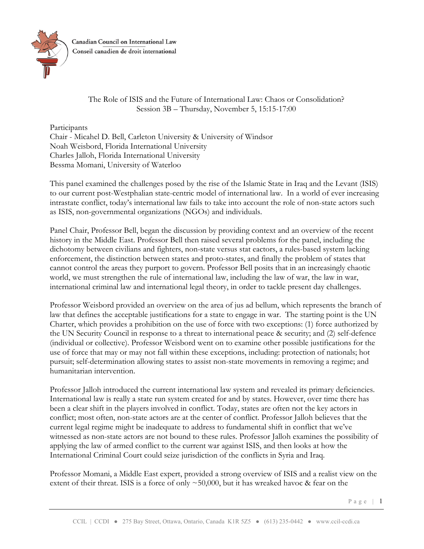

Canadian Council on International Law Conseil canadien de droit international

> The Role of ISIS and the Future of International Law: Chaos or Consolidation? Session 3B – Thursday, November 5, 15:15-17:00

Participants Chair - Micahel D. Bell, Carleton University & University of Windsor Noah Weisbord, Florida International University Charles Jalloh, Florida International University Bessma Momani, University of Waterloo

This panel examined the challenges posed by the rise of the Islamic State in Iraq and the Levant (ISIS) to our current post-Westphalian state-centric model of international law. In a world of ever increasing intrastate conflict, today's international law fails to take into account the role of non-state actors such as ISIS, non-governmental organizations (NGOs) and individuals.

Panel Chair, Professor Bell, began the discussion by providing context and an overview of the recent history in the Middle East. Professor Bell then raised several problems for the panel, including the dichotomy between civilians and fighters, non-state versus stat eactors, a rules-based system lacking enforcement, the distinction between states and proto-states, and finally the problem of states that cannot control the areas they purport to govern. Professor Bell posits that in an increasingly chaotic world, we must strengthen the rule of international law, including the law of war, the law in war, international criminal law and international legal theory, in order to tackle present day challenges.

Professor Weisbord provided an overview on the area of jus ad bellum, which represents the branch of law that defines the acceptable justifications for a state to engage in war. The starting point is the UN Charter, which provides a prohibition on the use of force with two exceptions: (1) force authorized by the UN Security Council in response to a threat to international peace & security; and (2) self-defence (individual or collective). Professor Weisbord went on to examine other possible justifications for the use of force that may or may not fall within these exceptions, including: protection of nationals; hot pursuit; self-determination allowing states to assist non-state movements in removing a regime; and humanitarian intervention.

Professor Jalloh introduced the current international law system and revealed its primary deficiencies. International law is really a state run system created for and by states. However, over time there has been a clear shift in the players involved in conflict. Today, states are often not the key actors in conflict; most often, non-state actors are at the center of conflict. Professor Jalloh believes that the current legal regime might be inadequate to address to fundamental shift in conflict that we've witnessed as non-state actors are not bound to these rules. Professor Jalloh examines the possibility of applying the law of armed conflict to the current war against ISIS, and then looks at how the International Criminal Court could seize jurisdiction of the conflicts in Syria and Iraq.

Professor Momani, a Middle East expert, provided a strong overview of ISIS and a realist view on the extent of their threat. ISIS is a force of only ~50,000, but it has wreaked havoc & fear on the

Page | 1